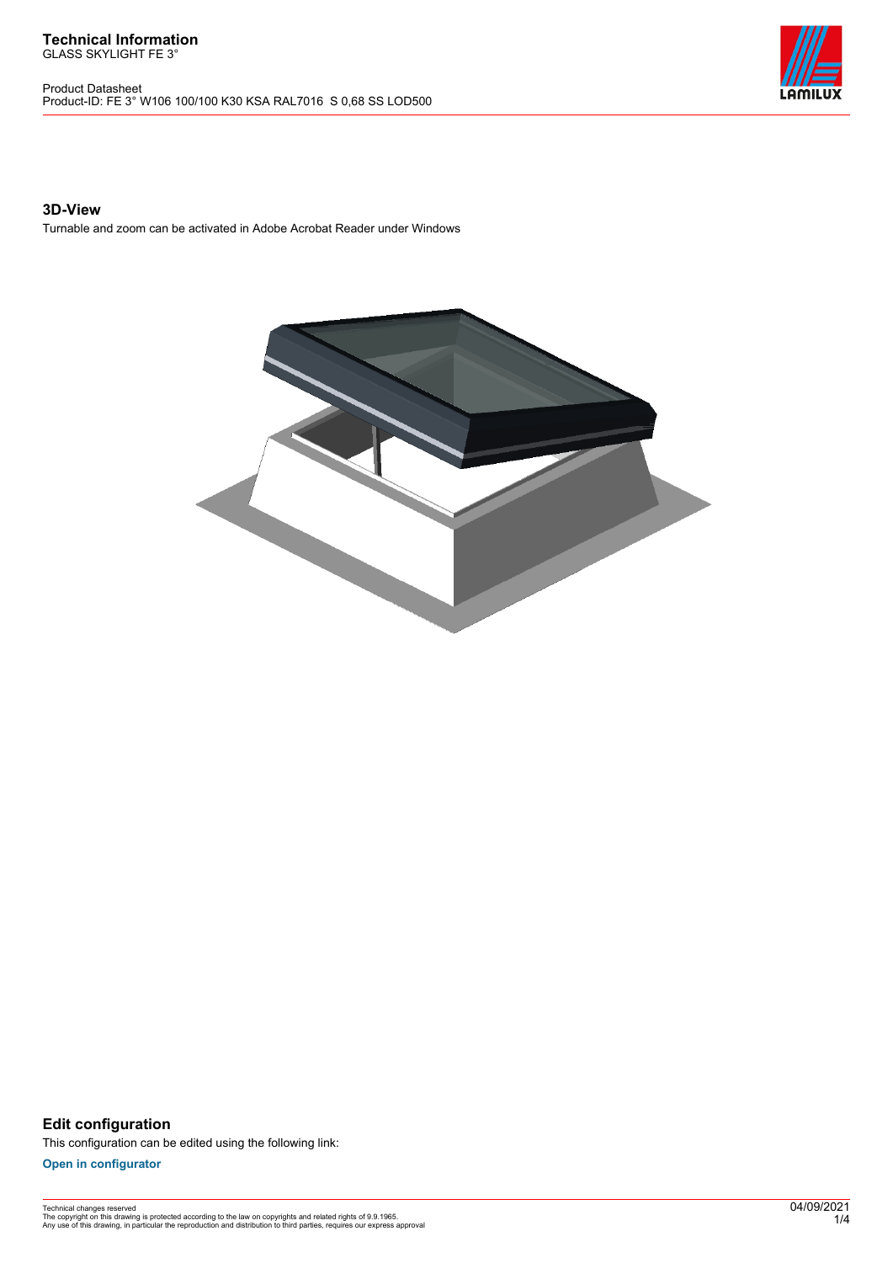Product Datasheet Product-ID: FE 3° W106 100/100 K30 KSA RAL7016 S 0,68 SS LOD500



### **3D-View**

Turnable and zoom can be activated in Adobe Acrobat Reader under Windows



**Edit configuration** This configuration can be edited using the following link:

**[Open in configurator](https://bimconfig.lamilux.com//?quickcode=YGBDXU)**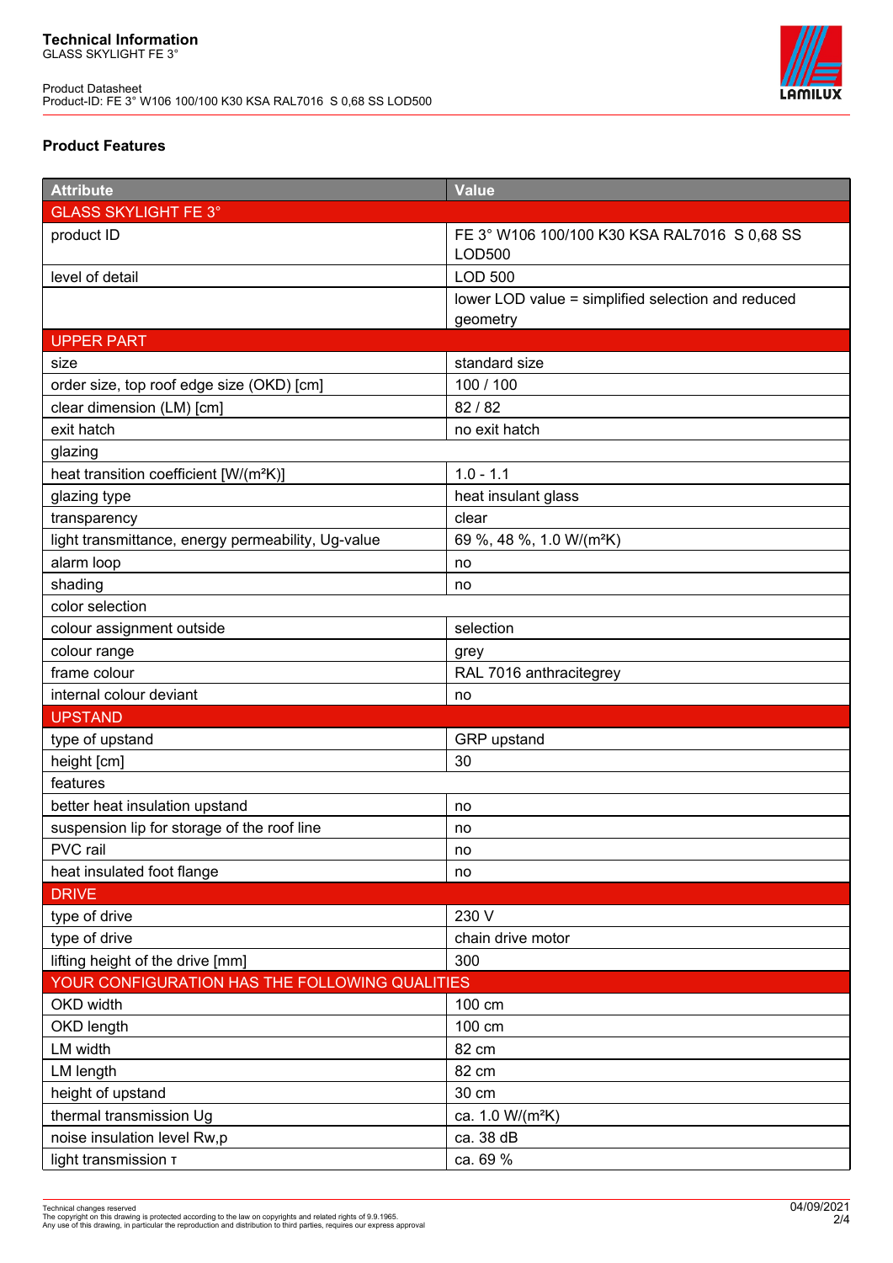

## **Product Features**

| <b>Attribute</b>                                   | Value                                              |  |
|----------------------------------------------------|----------------------------------------------------|--|
| <b>GLASS SKYLIGHT FE 3°</b>                        |                                                    |  |
| product ID                                         | FE 3° W106 100/100 K30 KSA RAL7016 S 0,68 SS       |  |
|                                                    | <b>LOD500</b>                                      |  |
| level of detail                                    | <b>LOD 500</b>                                     |  |
|                                                    | lower LOD value = simplified selection and reduced |  |
|                                                    | geometry                                           |  |
| <b>UPPER PART</b>                                  |                                                    |  |
| size                                               | standard size                                      |  |
| order size, top roof edge size (OKD) [cm]          | 100 / 100                                          |  |
| clear dimension (LM) [cm]                          | 82 / 82                                            |  |
| exit hatch                                         | no exit hatch                                      |  |
| glazing                                            |                                                    |  |
| heat transition coefficient [W/(m <sup>2</sup> K)] | $1.0 - 1.1$                                        |  |
| glazing type                                       | heat insulant glass                                |  |
| transparency                                       | clear                                              |  |
| light transmittance, energy permeability, Ug-value | 69 %, 48 %, 1.0 W/(m <sup>2</sup> K)               |  |
| alarm loop                                         | no                                                 |  |
| shading                                            | no                                                 |  |
| color selection                                    |                                                    |  |
| colour assignment outside                          | selection                                          |  |
| colour range                                       | grey                                               |  |
| frame colour                                       | RAL 7016 anthracitegrey                            |  |
| internal colour deviant                            | no                                                 |  |
| <b>UPSTAND</b>                                     |                                                    |  |
| type of upstand                                    | GRP upstand                                        |  |
| height [cm]                                        | 30                                                 |  |
| features                                           |                                                    |  |
| better heat insulation upstand                     | no                                                 |  |
| suspension lip for storage of the roof line        | no                                                 |  |
| PVC rail                                           | no                                                 |  |
| heat insulated foot flange                         | no                                                 |  |
| <b>DRIVE</b>                                       |                                                    |  |
| type of drive                                      | 230 V                                              |  |
| type of drive                                      | chain drive motor                                  |  |
| lifting height of the drive [mm]                   | 300                                                |  |
| YOUR CONFIGURATION HAS THE FOLLOWING QUALITIES     |                                                    |  |
| OKD width                                          | 100 cm                                             |  |
| OKD length                                         | 100 cm                                             |  |
| LM width                                           | 82 cm                                              |  |
| LM length                                          | 82 cm                                              |  |
| height of upstand                                  | 30 cm                                              |  |
| thermal transmission Ug                            | ca. 1.0 W/(m <sup>2</sup> K)                       |  |
| noise insulation level Rw,p                        | ca. 38 dB                                          |  |
| light transmission T                               | ca. 69 %                                           |  |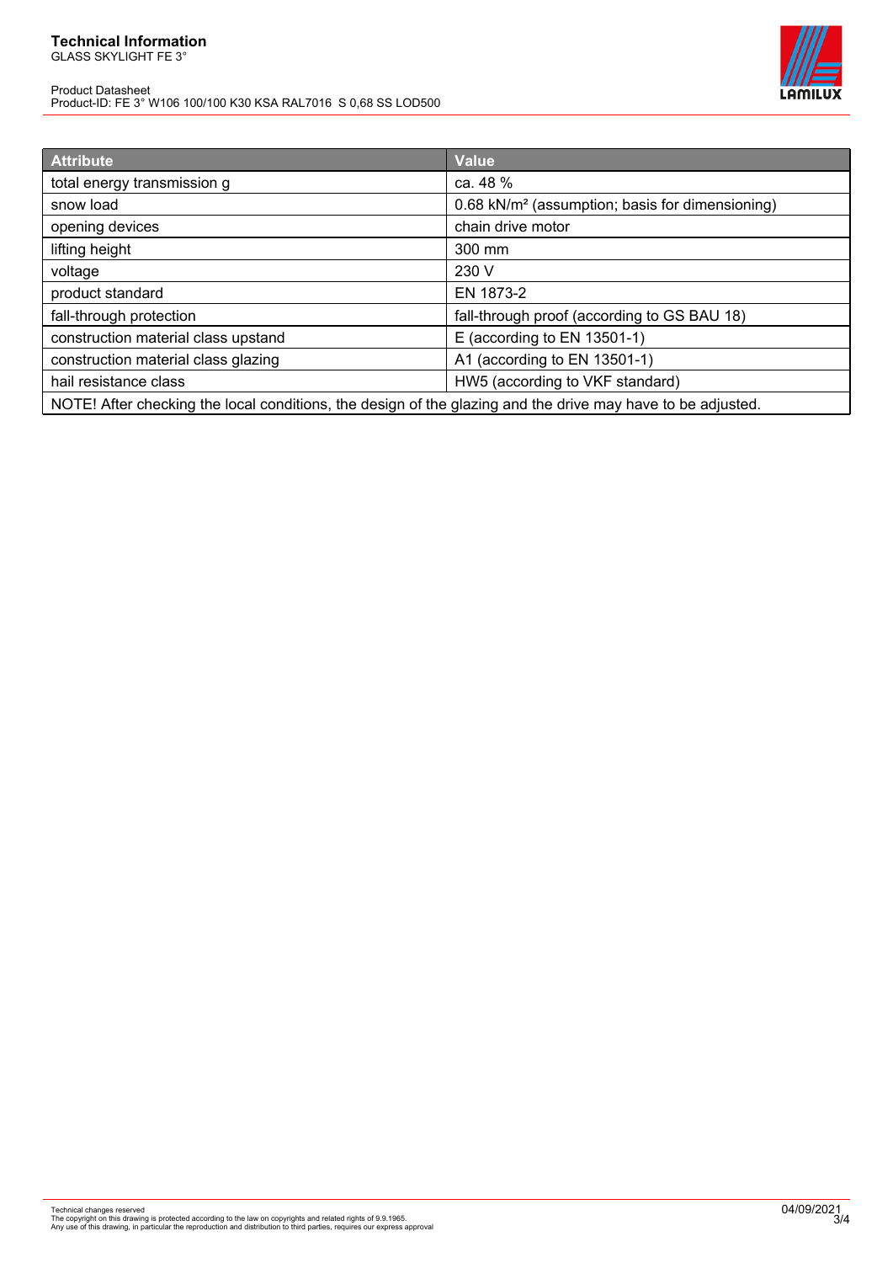# **Technical Information**

GLASS SKYLIGHT FE 3°

Product Datasheet Product-ID: FE 3° W106 100/100 K30 KSA RAL7016 S 0,68 SS LOD500



| <b>Attribute</b>                                                                                            | <b>Value</b>                                                |
|-------------------------------------------------------------------------------------------------------------|-------------------------------------------------------------|
| total energy transmission g                                                                                 | ca. 48 %                                                    |
| snow load                                                                                                   | 0.68 kN/m <sup>2</sup> (assumption; basis for dimensioning) |
| opening devices                                                                                             | chain drive motor                                           |
| lifting height                                                                                              | 300 mm                                                      |
| voltage                                                                                                     | 230 V                                                       |
| product standard                                                                                            | EN 1873-2                                                   |
| fall-through protection                                                                                     | fall-through proof (according to GS BAU 18)                 |
| construction material class upstand                                                                         | E (according to EN 13501-1)                                 |
| construction material class glazing                                                                         | A1 (according to EN 13501-1)                                |
| hail resistance class                                                                                       | HW5 (according to VKF standard)                             |
| NOTE! After checking the local conditions, the design of the glazing and the drive may have to be adjusted. |                                                             |